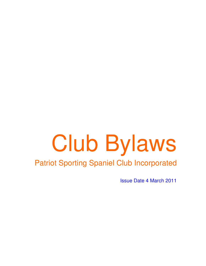# Club Bylaws

# Patriot Sporting Spaniel Club Incorporated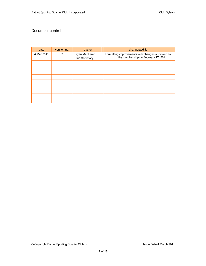### Document control

| date       | version no.  | author                           | change/addition                                                                         |
|------------|--------------|----------------------------------|-----------------------------------------------------------------------------------------|
| 4 Mar 2011 | $\mathbf{2}$ | Bryan MacLaren<br>Club Secretary | Formatting improvements with changes approved by<br>the membership on February 27, 2011 |
|            |              |                                  |                                                                                         |
|            |              |                                  |                                                                                         |
|            |              |                                  |                                                                                         |
|            |              |                                  |                                                                                         |
|            |              |                                  |                                                                                         |
|            |              |                                  |                                                                                         |
|            |              |                                  |                                                                                         |
|            |              |                                  |                                                                                         |
|            |              |                                  |                                                                                         |

© Copyright Patriot Sporting Spaniel Club Inc. **In the Club Incertial Club Incertial** Super Date 4 March 2011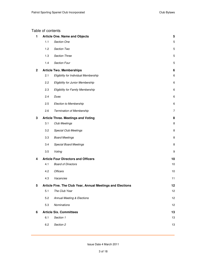### Table of contents

| 1            |                                                            | <b>Article One. Name and Objects</b>       | 5              |
|--------------|------------------------------------------------------------|--------------------------------------------|----------------|
|              | 1.1                                                        | Section One                                | 5              |
|              | 1.2                                                        | Section Two                                | 5              |
|              | 1.3                                                        | Section Three                              | 5              |
|              | 1.4                                                        | <b>Section Four</b>                        | 5              |
| $\mathbf{2}$ |                                                            | <b>Article Two. Memberships</b>            | 6              |
|              | 2.1                                                        | Eligibility for Individual Membership      | 6              |
|              | 2.2                                                        | Eligibility for Junior Membership          | $\,6\,$        |
|              | 2.3                                                        | Eligibility for Family Membership          | 6              |
|              | 2.4                                                        | Dues                                       | 6              |
|              | 2.5                                                        | <b>Election to Membership</b>              | 6              |
|              | 2.6                                                        | Termination of Membership                  | $\overline{7}$ |
| 3            |                                                            | <b>Article Three. Meetings and Voting</b>  | 8              |
|              | 3.1                                                        | <b>Club Meetings</b>                       | 8              |
|              | 3.2                                                        | Special Club Meetings                      | 8              |
|              | 3.3                                                        | <b>Board Meetings</b>                      | 8              |
|              | 3.4                                                        | <b>Special Board Meetings</b>              | 8              |
|              | 3.5                                                        | Voting                                     | 9              |
| 4            |                                                            | <b>Article Four Directors and Officers</b> | 10             |
|              | 4.1                                                        | <b>Board of Directors</b>                  | 10             |
|              | 4.2                                                        | <b>Officers</b>                            | 10             |
|              | 4.3                                                        | Vacancies                                  | 11             |
| ა            | Article Five. The Club Year, Annual Meetings and Elections |                                            |                |
|              | 5.1                                                        | The Club Year                              | 12             |
|              | 5.2                                                        | Annual Meeting & Elections                 | 12             |
|              | 5.3                                                        | <b>Nominations</b>                         | 12             |
| 6            |                                                            | <b>Article Six. Committees</b>             | 13             |
|              | 6.1                                                        | Section 1                                  | 13             |
|              | 6.2                                                        | Section 2                                  | 13             |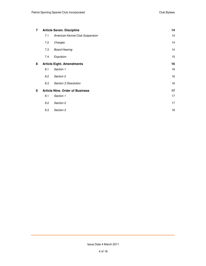| $\overline{7}$ | <b>Article Seven. Discipline</b> |                                        | 14 |
|----------------|----------------------------------|----------------------------------------|----|
|                | 7.1                              | American Kennel Club Suspension        | 14 |
|                | 7.2                              | Charges                                | 14 |
|                | 7.3                              | <b>Board Hearing</b>                   | 14 |
|                | 7.4                              | Expulsion                              | 15 |
| 8              |                                  | <b>Article Eight. Amendments</b>       | 16 |
|                | 8.1                              | Section 1                              | 16 |
|                | 8.2                              | Section 2                              | 16 |
|                | 8.3                              | Section 3 Dissolution                  | 16 |
| 9              |                                  | <b>Article Nine. Order of Business</b> | 17 |
|                | 9.1                              | Section 1                              | 17 |
|                | 9.2                              | Section 2                              | 17 |
|                | 9.3                              | Section 3                              | 18 |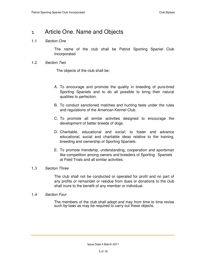# 1 Article One. Name and Objects

### 1.1 Section One

The name of the club shall be Patriot Sporting Spaniel Club Incorporated

### 1.2 Section Two

The objects of the club shall be:

- A. To encourage and promote the quality in breeding of pure-bred Sporting Spaniels and to do all possible to bring their natural qualities to perfection.
- B. To conduct sanctioned matches and hunting tests under the rules and regulations of the American Kennel Club.
- C. To promote all similar activities designed to encourage the development of better breeds of dogs.
- D. Charitable, educational and social; to foster and advance educational, social and charitable ideas relative to the training, breeding and ownership of Sporting Spaniels.
- E. To promote friendship, understanding, cooperation and sportsman like competition among owners and breeders of Sporting Spaniels at Field Trials and all similar activities.

### 1.3 Section Three

 The club shall not be conducted or operated for profit and no part of any profits or remainder or residue from dues or donations to the club shall inure to the benefit of any member or individual.

### 1.4 Section Four

The members of the club shall adopt and may from time to time revise such by-laws as may be required to carry out these objects.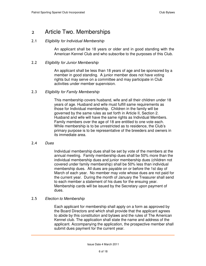# 2 Article Two. Memberships

### 2.1 Eligibility for Individual Membership

An applicant shall be 18 years or older and in good standing with the American Kennel Club and who subscribe to the purposes of this Club.

### 2.2 Eligibility for Junior Membership

An applicant shall be less than 18 years of age and be sponsored by a member in good standing. A junior member does not have voting rights but may serve on a committee and may participate in Club activities under member supervision.

### 2.3 Eligibility for Family Membership

This membership covers husband, wife and all their children under 18 years of age. Husband and wife must fulfill same requirements as those for Individual membership. Children in the family will be governed by the same rules as set forth in Article II, Section 2. Husband and wife will have the same rights as Individual Members. Family members over the age of 18 are entitled to one vote each. While membership is to be unrestricted as to residence, the Club's primary purpose is to be representative of the breeders and owners in its immediate area.

### 2.4 Dues

Individual membership dues shall be set by vote of the members at the annual meeting. Family membership dues shall be 50% more than the individual membership dues and junior membership dues (children not covered under family membership) shall be 50% less than individual membership dues. All dues are payable on or before the 1st day of March of each year. No member may vote whose dues are not paid for the current year. During the month of January the Treasurer shall send to each member a statement of his dues for the ensuing year. Membership cards will be issued by the Secretary upon payment of dues.

### 2.5 Election to Membership

Each applicant for membership shall apply on a form as approved by the Board Directors and which shall provide that the applicant agrees to abide by this constitution and bylaws and the rules of The American Kennel club. The application shall state the name and address of the applicant. Accompanying the application, the prospective member shall submit dues payment for the current year.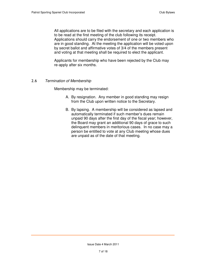All applications are to be filed with the secretary and each application is to be read at the first meeting of the club following its receipt. Applications should carry the endorsement of one or two members who are in good standing. At the meeting the application will be voted upon by secret ballot and affirmative votes of 3/4 of the members present and voting at that meeting shall be required to elect the applicant.

Applicants for membership who have been rejected by the Club may re-apply after six months.

### 2.6 Termination of Membership

Membership may be terminated:

- A. By resignation. Any member in good standing may resign from the Club upon written notice to the Secretary.
- B. By lapsing. A membership will be considered as lapsed and automatically terminated if such member's dues remain unpaid 90 days after the first day of the fiscal year; however, the Board may grant an additional 90 days of grace to such delinquent members in meritorious cases. In no case may a person be entitled to vote at any Club meeting whose dues are unpaid as of the date of that meeting.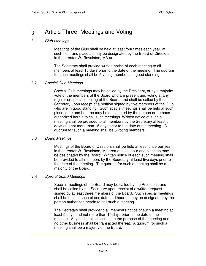# 3 Article Three. Meetings and Voting

### 3.1 Club Meetings

Meetings of the Club shall be held at least four times each year, at such hour and place as may be designated by the Board of Directors, in the greater W. Royalston, MA area.

The Secretary shall provide written notice of each meeting to all members at least 10 days prior to the date of the meeting. The quorum for such meetings shall be 5 voting members, in good standing.

### 3.2 Special Club Meetings

Special Club meetings may be called by the President, or by a majority vote of the members of the Board who are present and voting at any regular or special meeting of the Board, and shall be called by the Secretary upon receipt of a petition signed by five members of the Club who are in good standing. Such special meetings shall be held at such place, date and hour as may be designated by the person or persons authorized herein to call such meetings. Written notice of such a meeting shall be provided to all members by the Secretary at least 5 days and not more than 15 days prior to the date of the meeting. A quorum for such a meeting shall be 5 voting members.

### 3.3 Board Meetings

Meetings of the Board of Directors shall be held at least once per year in the greater W. Royalston, Ma area at such hour and place as may be designated by the Board. Written notice of each such meeting shall be provided to all members by the Secretary at least five days prior to the date of the meeting. The quorum for such a meeting shall be a majority of the Board.

### 3.4 Special Board Meetings

Special meetings of the Board may be called by the President, and shall be called by the Secretary upon receipt of a written request signed by at least three members of the Board. Such special meetings shall be held at such place, date and hour as may be designated by the person authorized herein to call such a meeting.

The Secretary shall provide to all members notice of such a meeting at least 5 days and not more than 10 days prior to the date of the meeting. Any such notice shall state the purpose of the meeting and no other business shall be transacted thereat. A quorum for such a meeting shall be a majority of the Board.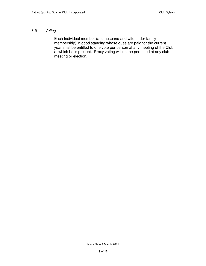### 3.5 Voting

 Each Individual member (and husband and wife under family membership) in good standing whose dues are paid for the current year shall be entitled to one vote per person at any meeting of the Club at which he is present. Proxy voting will not be permitted at any club meeting or election.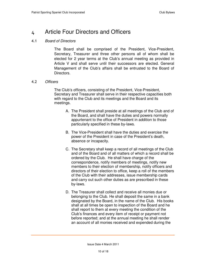# 4 Article Four Directors and Officers

### 4.1 Board of Directors

The Board shall be comprised of the President, Vice-President, Secretary, Treasurer and three other persons all of whom shall be elected for 2 year terms at the Club's annual meeting as provided in Article V and shall serve until their successors are elected. General Management of the Club's affairs shall be entrusted to the Board of Directors.

### 4.2 Officers

The Club's officers, consisting of the President, Vice-President, Secretary and Treasurer shall serve in their respective capacities both with regard to the Club and its meetings and the Board and its meetings.

- A. The President shall preside at all meetings of the Club and of the Board, and shall have the duties and powers normally appurtenant to the office of President in addition to those particularly specified in these by-laws.
- B. The Vice-President shall have the duties and exercise the power of the President in case of the President's death, absence or incapacity.
- C. The Secretary shall keep a record of all meetings of the Club and of the Board and of all matters of which a record shall be ordered by the Club. He shall have charge of the correspondence, notify members of meetings, notify new members to their election of membership, notify officers and directors of their election to office, keep a roll of the members of the Club with their addresses, issue membership cards and carry out such other duties as are prescribed in these by-laws.
- D. The Treasurer shall collect and receive all monies due or belonging to the Club. He shall deposit the same in a bank designated by the Board, in the name of the Club. His books shall at all times be open to inspection of the Board and he shall report to them at every meeting the condition of the Club's finances and every item of receipt or payment not before reported; and at the annual meeting he shall render an account of all monies received and expended during the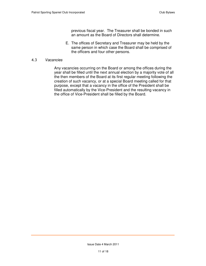previous fiscal year. The Treasurer shall be bonded in such an amount as the Board of Directors shall determine.

E. The offices of Secretary and Treasurer may be held by the same person in which case the Board shall be comprised of the officers and four other persons.

### 4.3 Vacancies

Any vacancies occurring on the Board or among the offices during the year shall be filled until the next annual election by a majority vote of all the then members of the Board at its first regular meeting following the creation of such vacancy, or at a special Board meeting called for that purpose, except that a vacancy in the office of the President shall be filled automatically by the Vice-President and the resulting vacancy in the office of Vice-President shall be filled by the Board.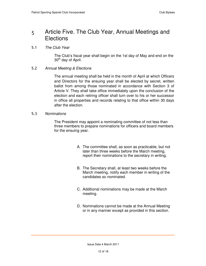# 5 Article Five. The Club Year, Annual Meetings and **Elections**

### 5.1 The Club Year

The Club's fiscal year shall begin on the 1st day of May and end on the 30<sup>th</sup> day of April.

### 5.2 Annual Meeting & Elections

The annual meeting shall be held in the month of April at which Officers and Directors for the ensuing year shall be elected by secret, written ballot from among those nominated in accordance with Section 3 of Article V. They shall take office immediately upon the conclusion of the election and each retiring officer shall turn over to his or her successor in office all properties and records relating to that office within 30 days after the election.

### 5.3 Nominations

The President may appoint a nominating committee of not less than three members to prepare nominations for officers and board members for the ensuing year.

- A. The committee shall, as soon as practicable, but not later than three weeks before the March meeting, report their nominations to the secretary in writing.
- B. The Secretary shall, at least two weeks before the March meeting, notify each member in writing of the candidates so nominated.
- C. Additional nominations may be made at the March meeting.
- D. Nominations cannot be made at the Annual Meeting or in any manner except as provided in this section.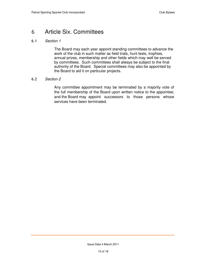# 6 Article Six. Committees

### 6.1 Section 1

The Board may each year appoint standing committees to advance the work of the club in such matter as field trials, hunt tests, trophies, annual prizes, membership and other fields which may well be served by committees. Such committees shall always be subject to the final authority of the Board. Special committees may also be appointed by the Board to aid it on particular projects.

### 6.2 Section 2

Any committee appointment may be terminated by a majority vote of the full membership of the Board upon written notice to the appointee; and the Board may appoint successors to those persons whose services have been terminated.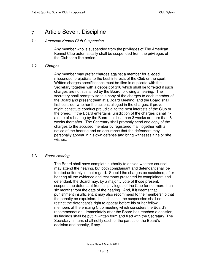# 7 Article Seven. Discipline

### 7.1 American Kennel Club Suspension

Any member who is suspended from the privileges of The American Kennel Club automatically shall be suspended from the privileges of the Club for a like period.

### 7.2 Charges

Any member may prefer charges against a member for alleged misconduct prejudicial to the best interests of the Club or the sport. Written charges specifications must be filed in duplicate with the Secretary together with a deposit of \$10 which shall be forfeited if such charges are not sustained by the Board following a hearing. The secretary shall promptly send a copy of the charges to each member of the Board and present them at a Board Meeting, and the Board shall first consider whether the actions alleged in the charges, if proven, might constitute conduct prejudicial to the best interests of the Club or the breed. If the Board entertains jurisdiction of the charges it shall fix a date of a hearing by the Board not less than 3 weeks or more than 6 weeks thereafter. The Secretary shall promptly send one copy of the charges to the accused member by registered mail together with a notice of the hearing and an assurance that the defendant may personally appear in his own defense and bring witnesses if he or she wishes.

### 7.3 Board Hearing

The Board shall have complete authority to decide whether counsel may attend the hearing, but both complainant and defendant shall be treated uniformly in that regard. Should the charges be sustained, after hearing all the evidence and testimony presented by complainant and defendant, the Board may, by a majority vote of those present, suspend the defendant from all privileges of the Club for not more than six months from the date of the hearing. And, if it deems that punishment insufficient, it may also recommend to the membership that the penalty be expulsion. In such case, the suspension shall not restrict the defendant's right to appear before his or her fellowmembers at the ensuing Club meeting which considers the Board's recommendation. Immediately after the Board has reached a decision, its findings shall be put in written form and filed with the Secretary. The Secretary, in turn, shall notify each of the parties of the Board's decision and penalty, if any.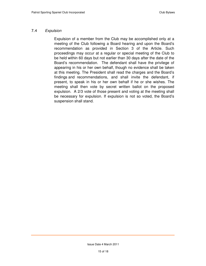### 7.4 Expulsion

Expulsion of a member from the Club may be accomplished only at a meeting of the Club following a Board hearing and upon the Board's recommendation as provided in Section 3 of the Article. Such proceedings may occur at a regular or special meeting of the Club to be held within 60 days but not earlier than 30 days after the date of the Board's recommendation. The defendant shall have the privilege of appearing in his or her own behalf, though no evidence shall be taken at this meeting. The President shall read the charges and the Board's findings and recommendations, and shall invite the defendant, if present, to speak in his or her own behalf if he or she wishes. The meeting shall then vote by secret written ballot on the proposed expulsion. A 2/3 vote of those present and voting at the meeting shall be necessary for expulsion. If expulsion is not so voted, the Board's suspension shall stand.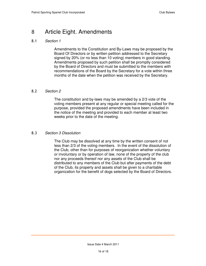# 8 Article Eight. Amendments

### 8.1 Section 1

Amendments to the Constitution and By-Laws may be proposed by the Board Of Directors or by written petition addressed to the Secretary signed by 20% (or no less than 10 voting) members in good standing. Amendments proposed by such petition shall be promptly considered by the Board of Directors and must be submitted to the members with recommendations of the Board by the Secretary for a vote within three months of the date when the petition was received by the Secretary.

### 8.2 Section 2

The constitution and by-laws may be amended by a 2/3 vote of the voting members present at any regular or special meeting called for the purpose, provided the proposed amendments have been included in the notice of the meeting and provided to each member at least two weeks prior to the date of the meeting.

### 8.3 Section 3 Dissolution

The Club may be dissolved at any time by the written consent of not less than 2/3 of the voting members. In the event of the dissolution of the Club, other than for purposes of reorganization whether voluntary or involuntary or by operation of law, none of the property of the club nor any proceeds thereof nor any assets of the Club shall be distributed to any members of the Club but after payments of the debt of the Club, its property and assets shall be given to a charitable organization for the benefit of dogs selected by the Board of Directors.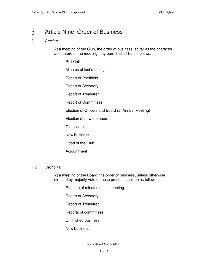# 9 Article Nine. Order of Business

### 9.1 Section 1

At a meeting of the Club, the order of business, so far as the character and nature of the meeting may permit, shall be as follows:

Roll Call

Minutes of last meeting

Report of President

Report of Secretary

Report of Treasurer

Report of Committees

Election of Officers and Board (at Annual Meeting)

Election of new members

Old business

New business

Good of the Club

Adjournment

### 9.2 Section 2

At a meeting of the Board, the order of business, unless otherwise directed by majority vote of those present, shall be as follows:

Reading of minutes of last meeting

Report of Secretary

Report of Treasurer

Reports of committees

Unfinished business

New business